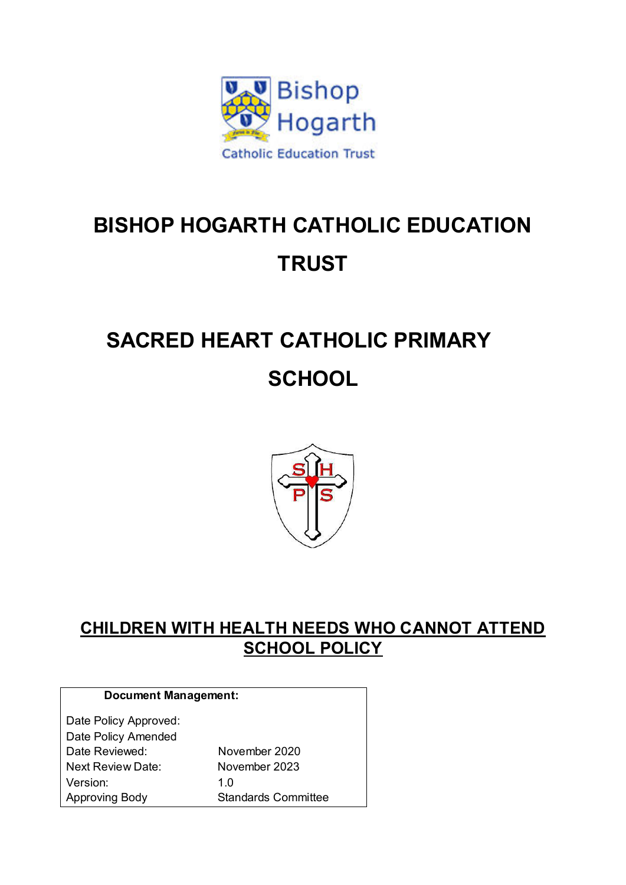

# **BISHOP HOGARTH CATHOLIC EDUCATION TRUST**

# **SACRED HEART CATHOLIC PRIMARY SCHOOL**



# **CHILDREN WITH HEALTH NEEDS WHO CANNOT ATTEND SCHOOL POLICY**

| <b>Document Management:</b> |                            |
|-----------------------------|----------------------------|
| Date Policy Approved:       |                            |
| Date Policy Amended         |                            |
| Date Reviewed:              | November 2020              |
| Next Review Date:           | November 2023              |
| Version:                    | 1 በ                        |
| Approving Body              | <b>Standards Committee</b> |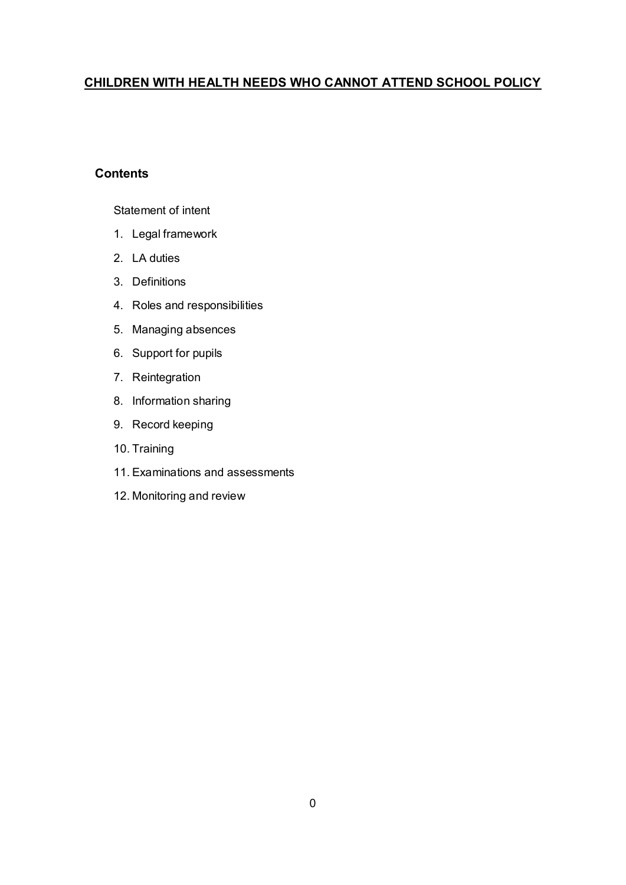## **CHILDREN WITH HEALTH NEEDS WHO CANNOT ATTEND SCHOOL POLICY**

#### **Contents**

#### Statement of intent

- 1. Legal framework
- 2. LA duties
- 3. Definitions
- 4. Roles and responsibilities
- 5. Managing absences
- 6. Support for pupils
- 7. Reintegration
- 8. Information sharing
- 9. Record keeping
- 10. Training
- 11. Examinations and assessments
- 12. Monitoring and review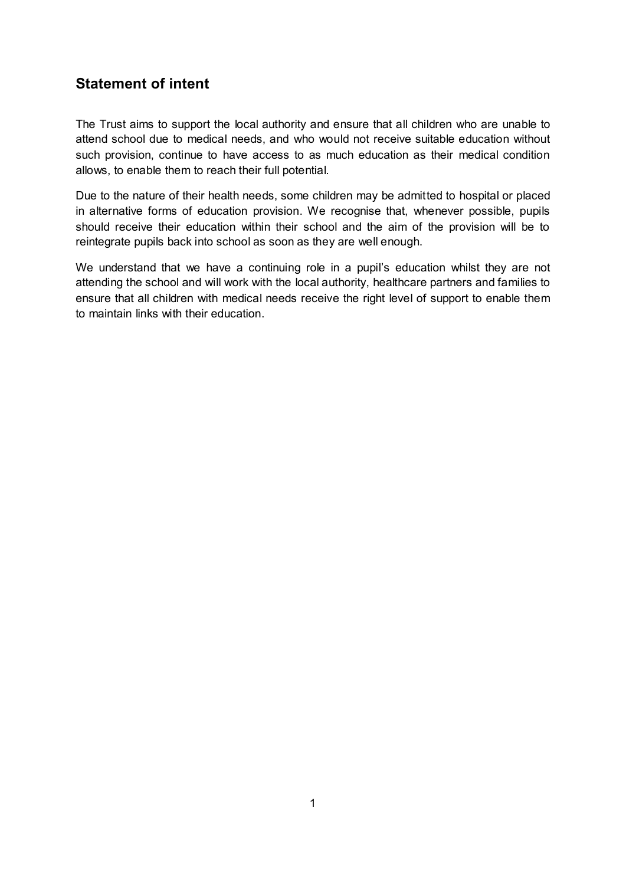# **Statement of intent**

The Trust aims to support the local authority and ensure that all children who are unable to attend school due to medical needs, and who would not receive suitable education without such provision, continue to have access to as much education as their medical condition allows, to enable them to reach their full potential.

Due to the nature of their health needs, some children may be admitted to hospital or placed in alternative forms of education provision. We recognise that, whenever possible, pupils should receive their education within their school and the aim of the provision will be to reintegrate pupils back into school as soon as they are well enough.

We understand that we have a continuing role in a pupil's education whilst they are not attending the school and will work with the local authority, healthcare partners and families to ensure that all children with medical needs receive the right level of support to enable them to maintain links with their education.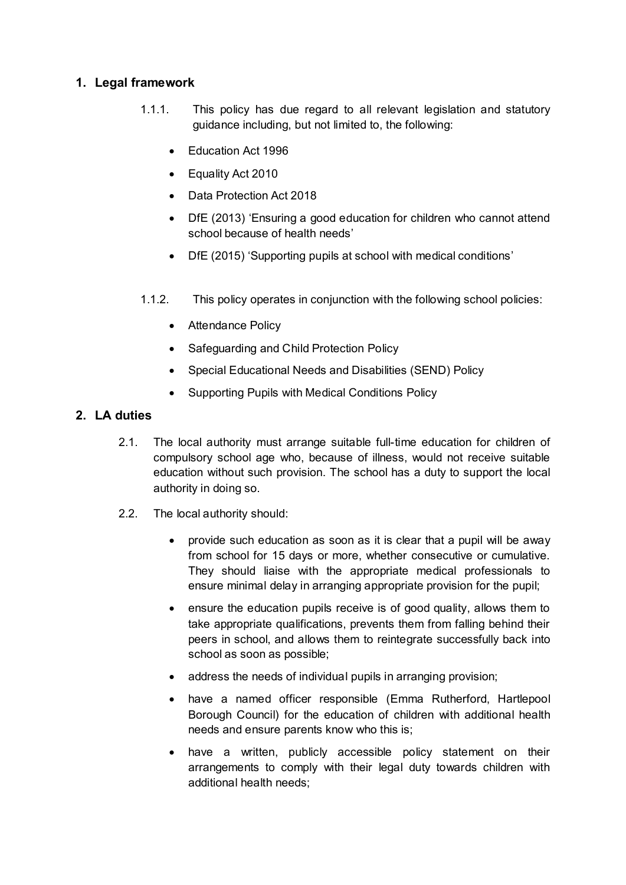### **1. Legal framework**

- 1.1.1. This policy has due regard to all relevant legislation and statutory guidance including, but not limited to, the following:
	- Education Act 1996
	- Equality Act 2010
	- Data Protection Act 2018
	- DfE (2013) 'Ensuring a good education for children who cannot attend school because of health needs'
	- DfE (2015) 'Supporting pupils at school with medical conditions'
- 1.1.2. This policy operates in conjunction with the following school policies:
	- Attendance Policy
	- Safeguarding and Child Protection Policy
	- Special Educational Needs and Disabilities (SEND) Policy
	- Supporting Pupils with Medical Conditions Policy

### **2. LA duties**

- 2.1. The local authority must arrange suitable full-time education for children of compulsory school age who, because of illness, would not receive suitable education without such provision. The school has a duty to support the local authority in doing so.
- 2.2. The local authority should:
	- provide such education as soon as it is clear that a pupil will be away from school for 15 days or more, whether consecutive or cumulative. They should liaise with the appropriate medical professionals to ensure minimal delay in arranging appropriate provision for the pupil;
	- ensure the education pupils receive is of good quality, allows them to take appropriate qualifications, prevents them from falling behind their peers in school, and allows them to reintegrate successfully back into school as soon as possible;
	- address the needs of individual pupils in arranging provision;
	- have a named officer responsible (Emma Rutherford, Hartlepool Borough Council) for the education of children with additional health needs and ensure parents know who this is;
	- have a written, publicly accessible policy statement on their arrangements to comply with their legal duty towards children with additional health needs;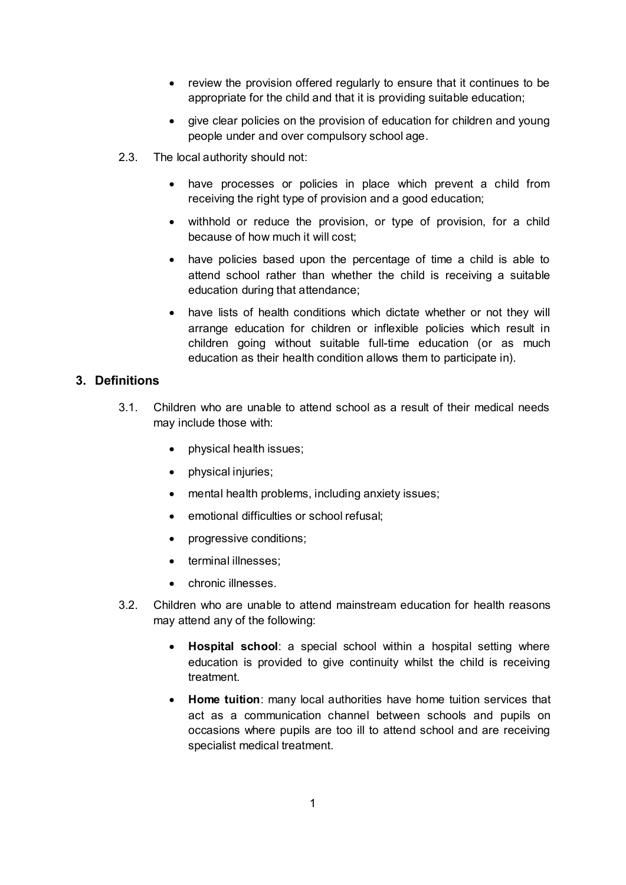- review the provision offered regularly to ensure that it continues to be appropriate for the child and that it is providing suitable education;
- give clear policies on the provision of education for children and young people under and over compulsory school age.
- 2.3. The local authority should not:
	- have processes or policies in place which prevent a child from receiving the right type of provision and a good education;
	- withhold or reduce the provision, or type of provision, for a child because of how much it will cost;
	- have policies based upon the percentage of time a child is able to attend school rather than whether the child is receiving a suitable education during that attendance;
	- have lists of health conditions which dictate whether or not they will arrange education for children or inflexible policies which result in children going without suitable full-time education (or as much education as their health condition allows them to participate in).

#### **3. Definitions**

- 3.1. Children who are unable to attend school as a result of their medical needs may include those with:
	- physical health issues;
	- physical injuries;
	- mental health problems, including anxiety issues;
	- emotional difficulties or school refusal;
	- progressive conditions;
	- terminal illnesses;
	- chronic illnesses.
- 3.2. Children who are unable to attend mainstream education for health reasons may attend any of the following:
	- **Hospital school**: a special school within a hospital setting where education is provided to give continuity whilst the child is receiving treatment.
	- **Home tuition**: many local authorities have home tuition services that act as a communication channel between schools and pupils on occasions where pupils are too ill to attend school and are receiving specialist medical treatment.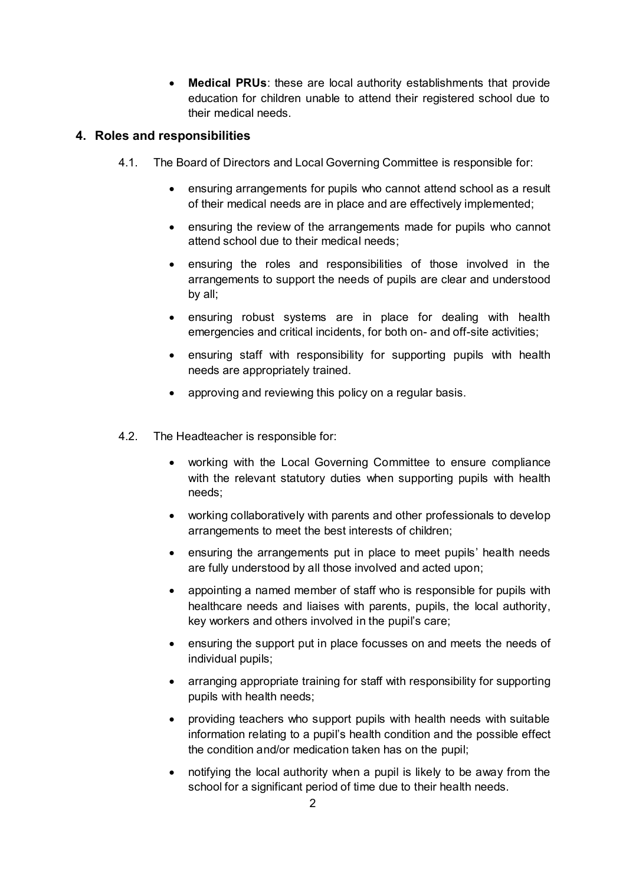**Medical PRUs**: these are local authority establishments that provide education for children unable to attend their registered school due to their medical needs.

#### **4. Roles and responsibilities**

- 4.1. The Board of Directors and Local Governing Committee is responsible for:
	- ensuring arrangements for pupils who cannot attend school as a result of their medical needs are in place and are effectively implemented;
	- ensuring the review of the arrangements made for pupils who cannot attend school due to their medical needs;
	- ensuring the roles and responsibilities of those involved in the arrangements to support the needs of pupils are clear and understood by all;
	- ensuring robust systems are in place for dealing with health emergencies and critical incidents, for both on- and off-site activities;
	- ensuring staff with responsibility for supporting pupils with health needs are appropriately trained.
	- approving and reviewing this policy on a regular basis.
- 4.2. The Headteacher is responsible for:
	- working with the Local Governing Committee to ensure compliance with the relevant statutory duties when supporting pupils with health needs;
	- working collaboratively with parents and other professionals to develop arrangements to meet the best interests of children;
	- ensuring the arrangements put in place to meet pupils' health needs are fully understood by all those involved and acted upon;
	- appointing a named member of staff who is responsible for pupils with healthcare needs and liaises with parents, pupils, the local authority, key workers and others involved in the pupil's care;
	- ensuring the support put in place focusses on and meets the needs of individual pupils;
	- arranging appropriate training for staff with responsibility for supporting pupils with health needs;
	- providing teachers who support pupils with health needs with suitable information relating to a pupil's health condition and the possible effect the condition and/or medication taken has on the pupil;
	- notifying the local authority when a pupil is likely to be away from the school for a significant period of time due to their health needs.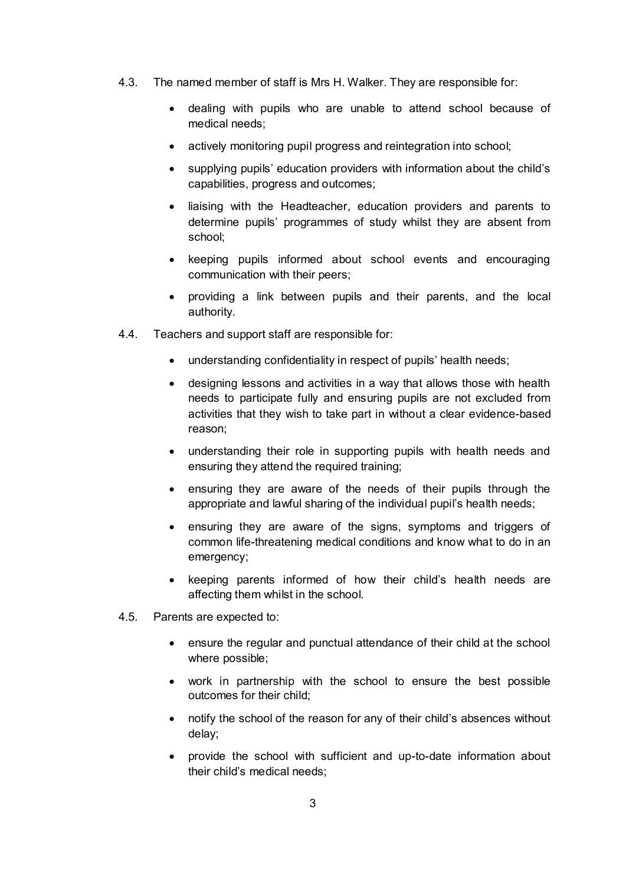- 4.3. The named member of staff is Mrs H. Walker. They are responsible for:
	- dealing with pupils who are unable to attend school because of medical needs;
	- actively monitoring pupil progress and reintegration into school;
	- supplying pupils' education providers with information about the child's capabilities, progress and outcomes;
	- liaising with the Headteacher, education providers and parents to determine pupils' programmes of study whilst they are absent from school;
	- keeping pupils informed about school events and encouraging communication with their peers;
	- providing a link between pupils and their parents, and the local authority.
- 4.4. Teachers and support staff are responsible for:
	- understanding confidentiality in respect of pupils' health needs;
	- designing lessons and activities in a way that allows those with health needs to participate fully and ensuring pupils are not excluded from activities that they wish to take part in without a clear evidence-based reason;
	- understanding their role in supporting pupils with health needs and ensuring they attend the required training;
	- ensuring they are aware of the needs of their pupils through the appropriate and lawful sharing of the individual pupil's health needs;
	- ensuring they are aware of the signs, symptoms and triggers of common life-threatening medical conditions and know what to do in an emergency;
	- keeping parents informed of how their child's health needs are affecting them whilst in the school.
- 4.5. Parents are expected to:
	- ensure the regular and punctual attendance of their child at the school where possible;
	- work in partnership with the school to ensure the best possible outcomes for their child;
	- notify the school of the reason for any of their child's absences without delay;
	- provide the school with sufficient and up-to-date information about their child's medical needs;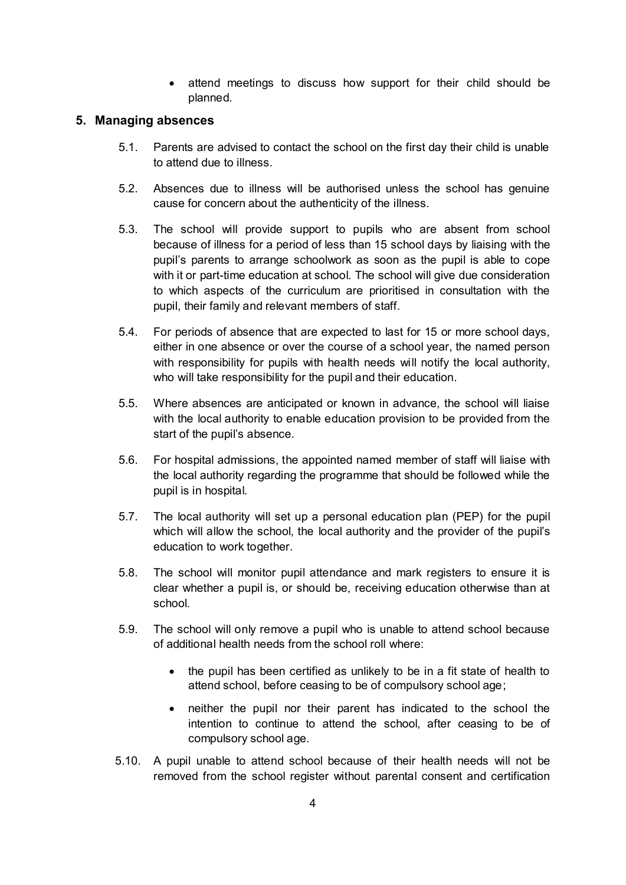attend meetings to discuss how support for their child should be planned.

#### **5. Managing absences**

- 5.1. Parents are advised to contact the school on the first day their child is unable to attend due to illness.
- 5.2. Absences due to illness will be authorised unless the school has genuine cause for concern about the authenticity of the illness.
- 5.3. The school will provide support to pupils who are absent from school because of illness for a period of less than 15 school days by liaising with the pupil's parents to arrange schoolwork as soon as the pupil is able to cope with it or part-time education at school. The school will give due consideration to which aspects of the curriculum are prioritised in consultation with the pupil, their family and relevant members of staff.
- 5.4. For periods of absence that are expected to last for 15 or more school days, either in one absence or over the course of a school year, the named person with responsibility for pupils with health needs will notify the local authority, who will take responsibility for the pupil and their education.
- 5.5. Where absences are anticipated or known in advance, the school will liaise with the local authority to enable education provision to be provided from the start of the pupil's absence.
- 5.6. For hospital admissions, the appointed named member of staff will liaise with the local authority regarding the programme that should be followed while the pupil is in hospital.
- 5.7. The local authority will set up a personal education plan (PEP) for the pupil which will allow the school, the local authority and the provider of the pupil's education to work together.
- 5.8. The school will monitor pupil attendance and mark registers to ensure it is clear whether a pupil is, or should be, receiving education otherwise than at school.
- 5.9. The school will only remove a pupil who is unable to attend school because of additional health needs from the school roll where:
	- the pupil has been certified as unlikely to be in a fit state of health to attend school, before ceasing to be of compulsory school age;
	- neither the pupil nor their parent has indicated to the school the intention to continue to attend the school, after ceasing to be of compulsory school age.
- 5.10. A pupil unable to attend school because of their health needs will not be removed from the school register without parental consent and certification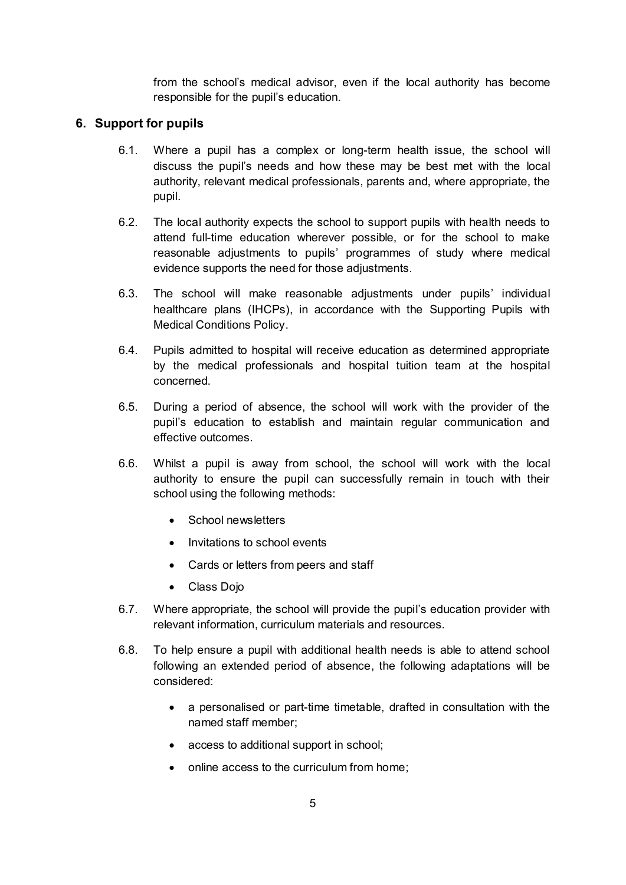from the school's medical advisor, even if the local authority has become responsible for the pupil's education.

#### **6. Support for pupils**

- 6.1. Where a pupil has a complex or long-term health issue, the school will discuss the pupil's needs and how these may be best met with the local authority, relevant medical professionals, parents and, where appropriate, the pupil.
- 6.2. The local authority expects the school to support pupils with health needs to attend full-time education wherever possible, or for the school to make reasonable adjustments to pupils' programmes of study where medical evidence supports the need for those adjustments.
- 6.3. The school will make reasonable adjustments under pupils' individual healthcare plans (IHCPs), in accordance with the Supporting Pupils with Medical Conditions Policy.
- 6.4. Pupils admitted to hospital will receive education as determined appropriate by the medical professionals and hospital tuition team at the hospital concerned.
- 6.5. During a period of absence, the school will work with the provider of the pupil's education to establish and maintain regular communication and effective outcomes.
- 6.6. Whilst a pupil is away from school, the school will work with the local authority to ensure the pupil can successfully remain in touch with their school using the following methods:
	- School newsletters
	- Invitations to school events
	- Cards or letters from peers and staff
	- Class Dojo
- 6.7. Where appropriate, the school will provide the pupil's education provider with relevant information, curriculum materials and resources.
- 6.8. To help ensure a pupil with additional health needs is able to attend school following an extended period of absence, the following adaptations will be considered:
	- a personalised or part-time timetable, drafted in consultation with the named staff member;
	- access to additional support in school;
	- online access to the curriculum from home: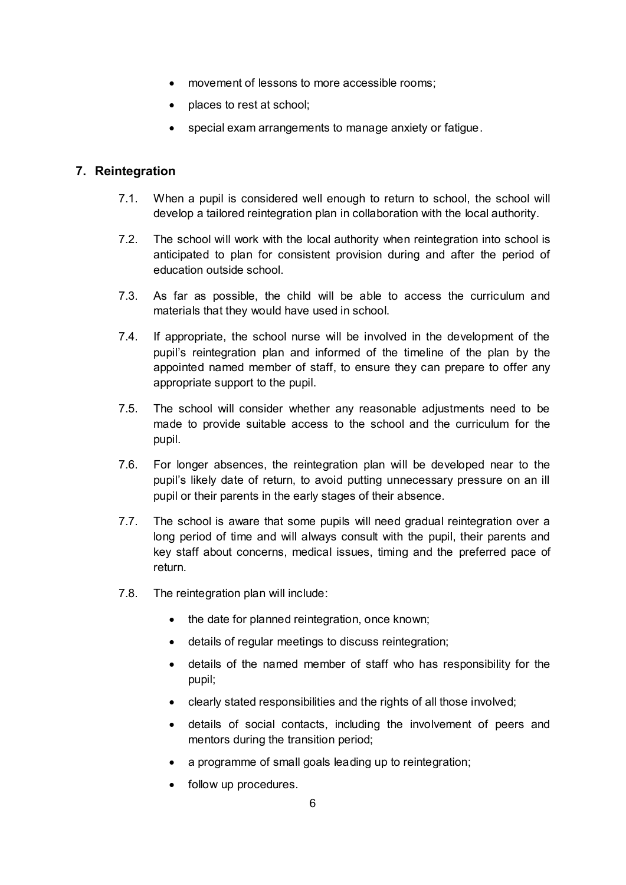- movement of lessons to more accessible rooms;
- places to rest at school:
- special exam arrangements to manage anxiety or fatigue.

#### **7. Reintegration**

- 7.1. When a pupil is considered well enough to return to school, the school will develop a tailored reintegration plan in collaboration with the local authority.
- 7.2. The school will work with the local authority when reintegration into school is anticipated to plan for consistent provision during and after the period of education outside school.
- 7.3. As far as possible, the child will be able to access the curriculum and materials that they would have used in school.
- 7.4. If appropriate, the school nurse will be involved in the development of the pupil's reintegration plan and informed of the timeline of the plan by the appointed named member of staff, to ensure they can prepare to offer any appropriate support to the pupil.
- 7.5. The school will consider whether any reasonable adjustments need to be made to provide suitable access to the school and the curriculum for the pupil.
- 7.6. For longer absences, the reintegration plan will be developed near to the pupil's likely date of return, to avoid putting unnecessary pressure on an ill pupil or their parents in the early stages of their absence.
- 7.7. The school is aware that some pupils will need gradual reintegration over a long period of time and will always consult with the pupil, their parents and key staff about concerns, medical issues, timing and the preferred pace of return.
- 7.8. The reintegration plan will include:
	- the date for planned reintegration, once known;
	- details of regular meetings to discuss reintegration;
	- details of the named member of staff who has responsibility for the pupil;
	- clearly stated responsibilities and the rights of all those involved;
	- details of social contacts, including the involvement of peers and mentors during the transition period;
	- a programme of small goals leading up to reintegration;
	- follow up procedures.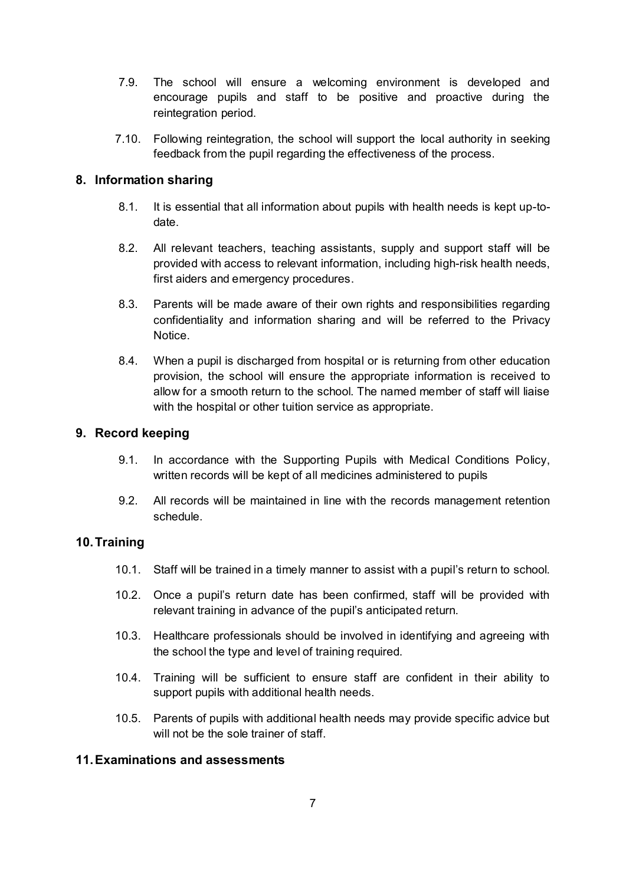- 7.9. The school will ensure a welcoming environment is developed and encourage pupils and staff to be positive and proactive during the reintegration period.
- 7.10. Following reintegration, the school will support the local authority in seeking feedback from the pupil regarding the effectiveness of the process.

#### **8. Information sharing**

- 8.1. It is essential that all information about pupils with health needs is kept up-todate.
- 8.2. All relevant teachers, teaching assistants, supply and support staff will be provided with access to relevant information, including high-risk health needs, first aiders and emergency procedures.
- 8.3. Parents will be made aware of their own rights and responsibilities regarding confidentiality and information sharing and will be referred to the Privacy Notice.
- 8.4. When a pupil is discharged from hospital or is returning from other education provision, the school will ensure the appropriate information is received to allow for a smooth return to the school. The named member of staff will liaise with the hospital or other tuition service as appropriate.

#### **9. Record keeping**

- 9.1. In accordance with the Supporting Pupils with Medical Conditions Policy, written records will be kept of all medicines administered to pupils
- 9.2. All records will be maintained in line with the records management retention schedule.

#### **10. Training**

- 10.1. Staff will be trained in a timely manner to assist with a pupil's return to school.
- 10.2. Once a pupil's return date has been confirmed, staff will be provided with relevant training in advance of the pupil's anticipated return.
- 10.3. Healthcare professionals should be involved in identifying and agreeing with the school the type and level of training required.
- 10.4. Training will be sufficient to ensure staff are confident in their ability to support pupils with additional health needs.
- 10.5. Parents of pupils with additional health needs may provide specific advice but will not be the sole trainer of staff.

#### **11. Examinations and assessments**